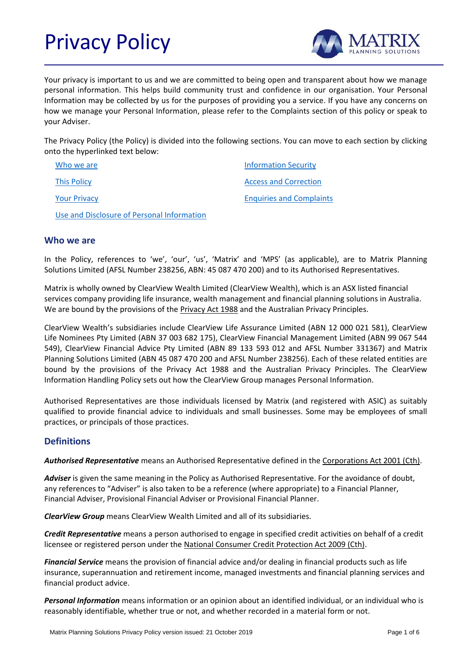# Privacy Policy



Your privacy is important to us and we are committed to being open and transparent about how we manage personal information. This helps build community trust and confidence in our organisation. Your Personal Information may be collected by us for the purposes of providing you a service. If you have any concerns on how we manage your Personal Information, please refer to the Complaints section of this policy or speak to your Adviser.

The Privacy Policy (the Policy) is divided into the following sections. You can move to each section by clicking onto the hyperlinked text below:

| Who we are                                 | <b>Information Security</b>     |
|--------------------------------------------|---------------------------------|
| <b>This Policy</b>                         | <b>Access and Correction</b>    |
| <b>Your Privacy</b>                        | <b>Enquiries and Complaints</b> |
| Use and Disclosure of Personal Information |                                 |

# <span id="page-0-0"></span>**Who we are**

In the Policy, references to 'we', 'our', 'us', 'Matrix' and 'MPS' (as applicable), are to Matrix Planning Solutions Limited (AFSL Number 238256, ABN: 45 087 470 200) and to its Authorised Representatives.

Matrix is wholly owned by ClearView Wealth Limited (ClearView Wealth), which is an ASX listed financial services company providing life insurance, wealth management and financial planning solutions in Australia. We are bound by the provisions of the **Privacy Act 1988** and the Australian Privacy Principles.

ClearView Wealth's subsidiaries include ClearView Life Assurance Limited (ABN 12 000 021 581), ClearView Life Nominees Pty Limited (ABN 37 003 682 175), ClearView Financial Management Limited (ABN 99 067 544 549), ClearView Financial Advice Pty Limited (ABN 89 133 593 012 and AFSL Number 331367) and Matrix Planning Solutions Limited (ABN 45 087 470 200 and AFSL Number 238256). Each of these related entities are bound by the provisions of the Privacy Act 1988 and the Australian Privacy Principles. The ClearView Information Handling Policy sets out how the ClearView Group manages Personal Information.

Authorised Representatives are those individuals licensed by Matrix (and registered with ASIC) as suitably qualified to provide financial advice to individuals and small businesses. Some may be employees of small practices, or principals of those practices.

# **Definitions**

*Authorised Representative* means an Authorised Representative defined in the Corporations Act 2001 (Cth).

Adviser is given the same meaning in the Policy as Authorised Representative. For the avoidance of doubt, any references to "Adviser" is also taken to be a reference (where appropriate) to a Financial Planner, Financial Adviser, Provisional Financial Adviser or Provisional Financial Planner.

*ClearView Group* means ClearView Wealth Limited and all of its subsidiaries.

*Credit Representative* means a person authorised to engage in specified credit activities on behalf of a credit licensee or registered person under the National Consumer Credit Protection Act 2009 (Cth).

*Financial Service* means the provision of financial advice and/or dealing in financial products such as life insurance, superannuation and retirement income, managed investments and financial planning services and financial product advice.

*Personal Information* means information or an opinion about an identified individual, or an individual who is reasonably identifiable, whether true or not, and whether recorded in a material form or not.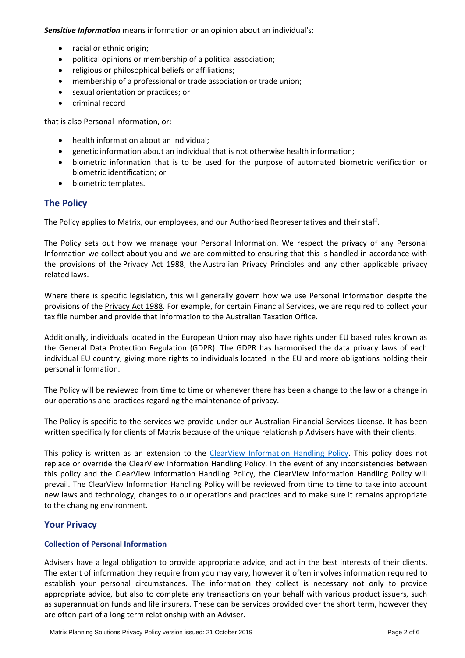*Sensitive Information* means information or an opinion about an individual's:

- racial or ethnic origin;
- political opinions or membership of a political association;
- religious or philosophical beliefs or affiliations;
- membership of a professional or trade association or trade union;
- sexual orientation or practices; or
- criminal record

that is also Personal Information, or:

- health information about an individual;
- genetic information about an individual that is not otherwise health information;
- biometric information that is to be used for the purpose of automated biometric verification or biometric identification; or
- biometric templates.

# <span id="page-1-0"></span>**The Policy**

The Policy applies to Matrix, our employees, and our Authorised Representatives and their staff.

The Policy sets out how we manage your Personal Information. We respect the privacy of any Personal Information we collect about you and we are committed to ensuring that this is handled in accordance with the provisions of the Privacy Act 1988, the Australian Privacy Principles and any other applicable privacy related laws.

Where there is specific legislation, this will generally govern how we use Personal Information despite the provisions of the Privacy Act 1988. For example, for certain Financial Services, we are required to collect your tax file number and provide that information to the Australian Taxation Office.

Additionally, individuals located in the European Union may also have rights under EU based rules known as the General Data Protection Regulation (GDPR). The GDPR has harmonised the data privacy laws of each individual EU country, giving more rights to individuals located in the EU and more obligations holding their personal information.

The Policy will be reviewed from time to time or whenever there has been a change to the law or a change in our operations and practices regarding the maintenance of privacy.

The Policy is specific to the services we provide under our Australian Financial Services License. It has been written specifically for clients of Matrix because of the unique relationship Advisers have with their clients.

This policy is written as an extension to the [ClearView Information Handling Policy.](https://www.clearview.com.au/information-handling-policy-(1)) This policy does not replace or override the ClearView Information Handling Policy. In the event of any inconsistencies between this policy and the ClearView Information Handling Policy, the ClearView Information Handling Policy will prevail. The ClearView Information Handling Policy will be reviewed from time to time to take into account new laws and technology, changes to our operations and practices and to make sure it remains appropriate to the changing environment.

# <span id="page-1-1"></span>**Your Privacy**

# **Collection of Personal Information**

Advisers have a legal obligation to provide appropriate advice, and act in the best interests of their clients. The extent of information they require from you may vary, however it often involves information required to establish your personal circumstances. The information they collect is necessary not only to provide appropriate advice, but also to complete any transactions on your behalf with various product issuers, such as superannuation funds and life insurers. These can be services provided over the short term, however they are often part of a long term relationship with an Adviser.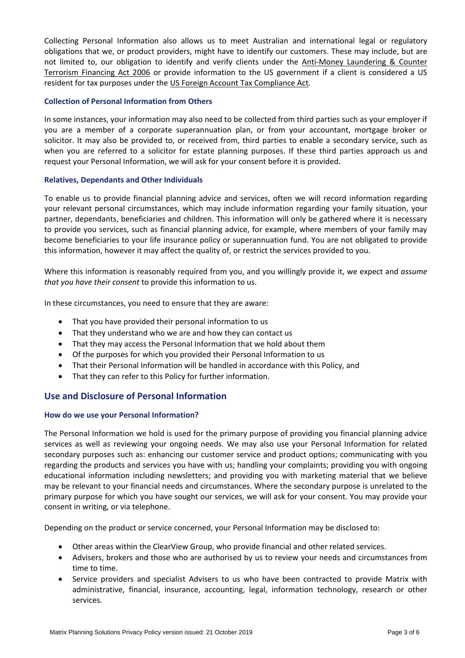Collecting Personal Information also allows us to meet Australian and international legal or regulatory obligations that we, or product providers, might have to identify our customers. These may include, but are not limited to, our obligation to identify and verify clients under the Anti-Money Laundering & Counter Terrorism Financing Act 2006 or provide information to the US government if a client is considered a US resident for tax purposes under the US Foreign Account Tax Compliance Act*.*

# **Collection of Personal Information from Others**

In some instances, your information may also need to be collected from third parties such as your employer if you are a member of a corporate superannuation plan, or from your accountant, mortgage broker or solicitor. It may also be provided to, or received from, third parties to enable a secondary service, such as when you are referred to a solicitor for estate planning purposes. If these third parties approach us and request your Personal Information, we will ask for your consent before it is provided.

# **Relatives, Dependants and Other Individuals**

To enable us to provide financial planning advice and services, often we will record information regarding your relevant personal circumstances, which may include information regarding your family situation, your partner, dependants, beneficiaries and children. This information will only be gathered where it is necessary to provide you services, such as financial planning advice, for example, where members of your family may become beneficiaries to your life insurance policy or superannuation fund. You are not obligated to provide this information, however it may affect the quality of, or restrict the services provided to you.

Where this information is reasonably required from you, and you willingly provide it, we expect and *assume that you have their consent* to provide this information to us.

In these circumstances, you need to ensure that they are aware:

- That you have provided their personal information to us
- That they understand who we are and how they can contact us
- That they may access the Personal Information that we hold about them
- Of the purposes for which you provided their Personal Information to us
- That their Personal Information will be handled in accordance with this Policy, and
- That they can refer to this Policy for further information.

# <span id="page-2-0"></span>**Use and Disclosure of Personal Information**

# **How do we use your Personal Information?**

The Personal Information we hold is used for the primary purpose of providing you financial planning advice services as well as reviewing your ongoing needs. We may also use your Personal Information for related secondary purposes such as: enhancing our customer service and product options; communicating with you regarding the products and services you have with us; handling your complaints; providing you with ongoing educational information including newsletters; and providing you with marketing material that we believe may be relevant to your financial needs and circumstances. Where the secondary purpose is unrelated to the primary purpose for which you have sought our services, we will ask for your consent. You may provide your consent in writing, or via telephone.

Depending on the product or service concerned, your Personal Information may be disclosed to:

- Other areas within the ClearView Group, who provide financial and other related services.
- Advisers, brokers and those who are authorised by us to review your needs and circumstances from time to time.
- Service providers and specialist Advisers to us who have been contracted to provide Matrix with administrative, financial, insurance, accounting, legal, information technology, research or other services.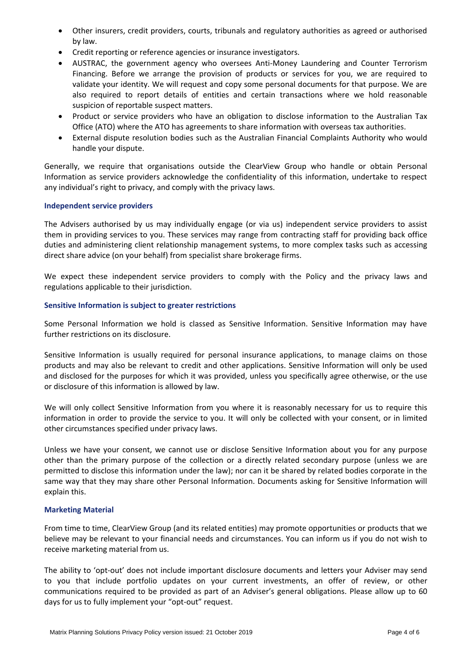- Other insurers, credit providers, courts, tribunals and regulatory authorities as agreed or authorised by law.
- Credit reporting or reference agencies or insurance investigators.
- AUSTRAC, the government agency who oversees Anti-Money Laundering and Counter Terrorism Financing. Before we arrange the provision of products or services for you, we are required to validate your identity. We will request and copy some personal documents for that purpose. We are also required to report details of entities and certain transactions where we hold reasonable suspicion of reportable suspect matters.
- Product or service providers who have an obligation to disclose information to the Australian Tax Office (ATO) where the ATO has agreements to share information with overseas tax authorities.
- External dispute resolution bodies such as the Australian Financial Complaints Authority who would handle your dispute.

Generally, we require that organisations outside the ClearView Group who handle or obtain Personal Information as service providers acknowledge the confidentiality of this information, undertake to respect any individual's right to privacy, and comply with the privacy laws.

#### **Independent service providers**

The Advisers authorised by us may individually engage (or via us) independent service providers to assist them in providing services to you. These services may range from contracting staff for providing back office duties and administering client relationship management systems, to more complex tasks such as accessing direct share advice (on your behalf) from specialist share brokerage firms.

We expect these independent service providers to comply with the Policy and the privacy laws and regulations applicable to their jurisdiction.

#### **Sensitive Information is subject to greater restrictions**

Some Personal Information we hold is classed as Sensitive Information. Sensitive Information may have further restrictions on its disclosure.

Sensitive Information is usually required for personal insurance applications, to manage claims on those products and may also be relevant to credit and other applications. Sensitive Information will only be used and disclosed for the purposes for which it was provided, unless you specifically agree otherwise, or the use or disclosure of this information is allowed by law.

We will only collect Sensitive Information from you where it is reasonably necessary for us to require this information in order to provide the service to you. It will only be collected with your consent, or in limited other circumstances specified under privacy laws.

Unless we have your consent, we cannot use or disclose Sensitive Information about you for any purpose other than the primary purpose of the collection or a directly related secondary purpose (unless we are permitted to disclose this information under the law); nor can it be shared by related bodies corporate in the same way that they may share other Personal Information. Documents asking for Sensitive Information will explain this.

#### **Marketing Material**

From time to time, ClearView Group (and its related entities) may promote opportunities or products that we believe may be relevant to your financial needs and circumstances. You can inform us if you do not wish to receive marketing material from us.

<span id="page-3-0"></span>The ability to 'opt-out' does not include important disclosure documents and letters your Adviser may send to you that include portfolio updates on your current investments, an offer of review, or other communications required to be provided as part of an Adviser's general obligations. Please allow up to 60 days for us to fully implement your "opt-out" request.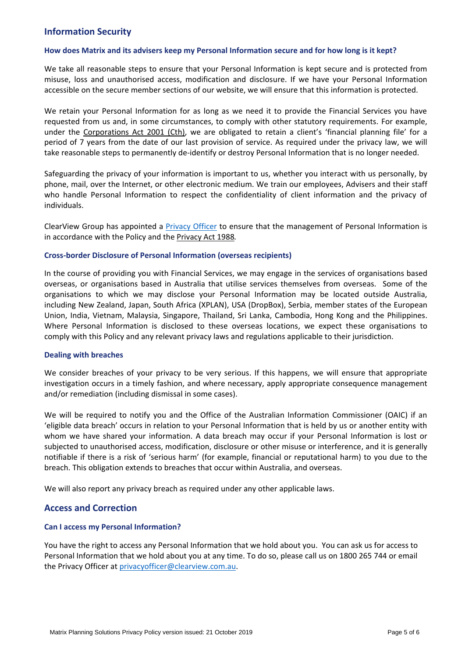# **Information Security**

#### **How does Matrix and its advisers keep my Personal Information secure and for how long is it kept?**

We take all reasonable steps to ensure that your Personal Information is kept secure and is protected from misuse, loss and unauthorised access, modification and disclosure. If we have your Personal Information accessible on the secure member sections of our website, we will ensure that this information is protected.

We retain your Personal Information for as long as we need it to provide the Financial Services you have requested from us and, in some circumstances, to comply with other statutory requirements. For example, under the Corporations Act 2001 (Cth), we are obligated to retain a client's 'financial planning file' for a period of 7 years from the date of our last provision of service. As required under the privacy law, we will take reasonable steps to permanently de-identify or destroy Personal Information that is no longer needed.

Safeguarding the privacy of your information is important to us, whether you interact with us personally, by phone, mail, over the Internet, or other electronic medium. We train our employees, Advisers and their staff who handle Personal Information to respect the confidentiality of client information and the privacy of individuals.

ClearView Group has appointed a [Privacy Officer](mailto:privacyofficer@clearview.com.au) to ensure that the management of Personal Information is in accordance with the Policy and the Privacy Act 1988*.*

#### **Cross-border Disclosure of Personal Information (overseas recipients)**

In the course of providing you with Financial Services, we may engage in the services of organisations based overseas, or organisations based in Australia that utilise services themselves from overseas. Some of the organisations to which we may disclose your Personal Information may be located outside Australia, including New Zealand, Japan, South Africa (XPLAN), USA (DropBox), Serbia, member states of the European Union, India, Vietnam, Malaysia, Singapore, Thailand, Sri Lanka, Cambodia, Hong Kong and the Philippines. Where Personal Information is disclosed to these overseas locations, we expect these organisations to comply with this Policy and any relevant privacy laws and regulations applicable to their jurisdiction.

#### **Dealing with breaches**

We consider breaches of your privacy to be very serious. If this happens, we will ensure that appropriate investigation occurs in a timely fashion, and where necessary, apply appropriate consequence management and/or remediation (including dismissal in some cases).

We will be required to notify you and the Office of the Australian Information Commissioner (OAIC) if an 'eligible data breach' occurs in relation to your Personal Information that is held by us or another entity with whom we have shared your information. A data breach may occur if your Personal Information is lost or subjected to unauthorised access, modification, disclosure or other misuse or interference, and it is generally notifiable if there is a risk of 'serious harm' (for example, financial or reputational harm) to you due to the breach. This obligation extends to breaches that occur within Australia, and overseas.

We will also report any privacy breach as required under any other applicable laws.

# <span id="page-4-0"></span>**Access and Correction**

#### **Can I access my Personal Information?**

You have the right to access any Personal Information that we hold about you. You can ask us for access to Personal Information that we hold about you at any time. To do so, please call us on 1800 265 744 or email the Privacy Officer at [privacyofficer@clearview.com.au.](mailto:privacyofficer@clearview.com.au)